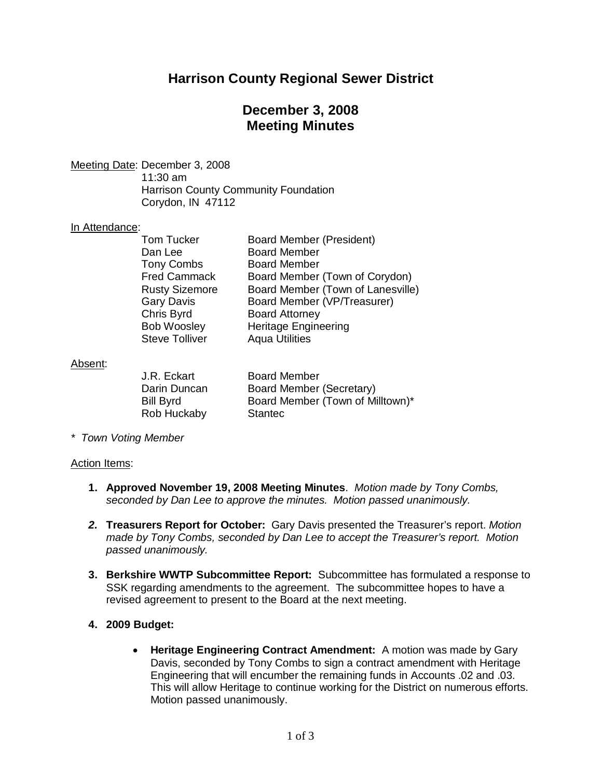# **Harrison County Regional Sewer District**

## **December 3, 2008 Meeting Minutes**

Meeting Date: December 3, 2008 11:30 am Harrison County Community Foundation

Corydon, IN 47112

#### In Attendance:

| <b>Tom Tucker</b>     | Board Member (President)          |
|-----------------------|-----------------------------------|
| Dan Lee               | <b>Board Member</b>               |
| <b>Tony Combs</b>     | <b>Board Member</b>               |
| <b>Fred Cammack</b>   | Board Member (Town of Corydon)    |
| <b>Rusty Sizemore</b> | Board Member (Town of Lanesville) |
| <b>Gary Davis</b>     | Board Member (VP/Treasurer)       |
| Chris Byrd            | <b>Board Attorney</b>             |
| <b>Bob Woosley</b>    | <b>Heritage Engineering</b>       |
| <b>Steve Tolliver</b> | <b>Aqua Utilities</b>             |
|                       |                                   |

#### Absent:

| J.R. Eckart      | <b>Board Member</b>              |
|------------------|----------------------------------|
| Darin Duncan     | Board Member (Secretary)         |
| <b>Bill Byrd</b> | Board Member (Town of Milltown)* |
| Rob Huckaby      | <b>Stantec</b>                   |

*\* Town Voting Member*

#### Action Items:

- **1. Approved November 19, 2008 Meeting Minutes**. *Motion made by Tony Combs, seconded by Dan Lee to approve the minutes. Motion passed unanimously.*
- *2.* **Treasurers Report for October:** Gary Davis presented the Treasurer's report. *Motion made by Tony Combs, seconded by Dan Lee to accept the Treasurer's report. Motion passed unanimously.*
- **3. Berkshire WWTP Subcommittee Report:** Subcommittee has formulated a response to SSK regarding amendments to the agreement. The subcommittee hopes to have a revised agreement to present to the Board at the next meeting.

### **4. 2009 Budget:**

· **Heritage Engineering Contract Amendment:** A motion was made by Gary Davis, seconded by Tony Combs to sign a contract amendment with Heritage Engineering that will encumber the remaining funds in Accounts .02 and .03. This will allow Heritage to continue working for the District on numerous efforts. Motion passed unanimously.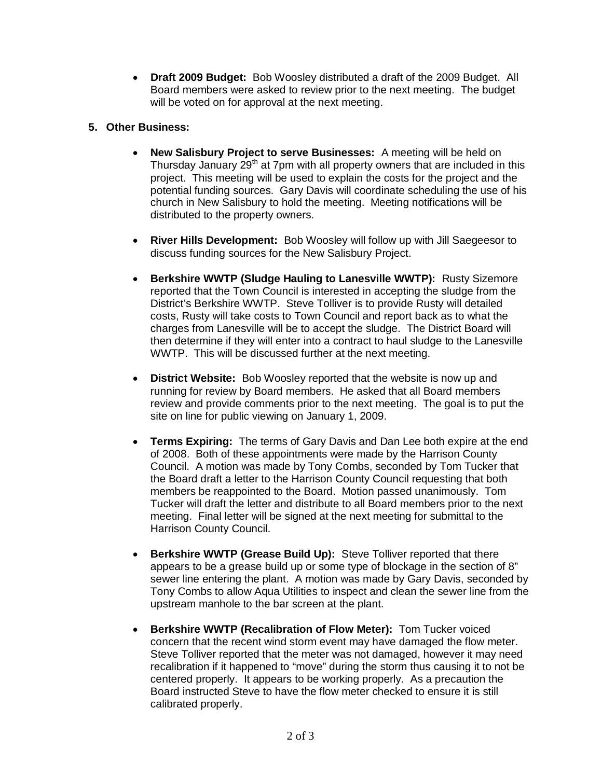· **Draft 2009 Budget:** Bob Woosley distributed a draft of the 2009 Budget. All Board members were asked to review prior to the next meeting. The budget will be voted on for approval at the next meeting.

### **5. Other Business:**

- · **New Salisbury Project to serve Businesses:** A meeting will be held on Thursday January  $29<sup>th</sup>$  at 7pm with all property owners that are included in this project. This meeting will be used to explain the costs for the project and the potential funding sources. Gary Davis will coordinate scheduling the use of his church in New Salisbury to hold the meeting. Meeting notifications will be distributed to the property owners.
- · **River Hills Development:** Bob Woosley will follow up with Jill Saegeesor to discuss funding sources for the New Salisbury Project.
- · **Berkshire WWTP (Sludge Hauling to Lanesville WWTP):** Rusty Sizemore reported that the Town Council is interested in accepting the sludge from the District's Berkshire WWTP. Steve Tolliver is to provide Rusty will detailed costs, Rusty will take costs to Town Council and report back as to what the charges from Lanesville will be to accept the sludge. The District Board will then determine if they will enter into a contract to haul sludge to the Lanesville WWTP. This will be discussed further at the next meeting.
- · **District Website:** Bob Woosley reported that the website is now up and running for review by Board members. He asked that all Board members review and provide comments prior to the next meeting. The goal is to put the site on line for public viewing on January 1, 2009.
- · **Terms Expiring:** The terms of Gary Davis and Dan Lee both expire at the end of 2008. Both of these appointments were made by the Harrison County Council. A motion was made by Tony Combs, seconded by Tom Tucker that the Board draft a letter to the Harrison County Council requesting that both members be reappointed to the Board. Motion passed unanimously. Tom Tucker will draft the letter and distribute to all Board members prior to the next meeting. Final letter will be signed at the next meeting for submittal to the Harrison County Council.
- · **Berkshire WWTP (Grease Build Up):** Steve Tolliver reported that there appears to be a grease build up or some type of blockage in the section of 8" sewer line entering the plant. A motion was made by Gary Davis, seconded by Tony Combs to allow Aqua Utilities to inspect and clean the sewer line from the upstream manhole to the bar screen at the plant.
- · **Berkshire WWTP (Recalibration of Flow Meter):** Tom Tucker voiced concern that the recent wind storm event may have damaged the flow meter. Steve Tolliver reported that the meter was not damaged, however it may need recalibration if it happened to "move" during the storm thus causing it to not be centered properly. It appears to be working properly. As a precaution the Board instructed Steve to have the flow meter checked to ensure it is still calibrated properly.